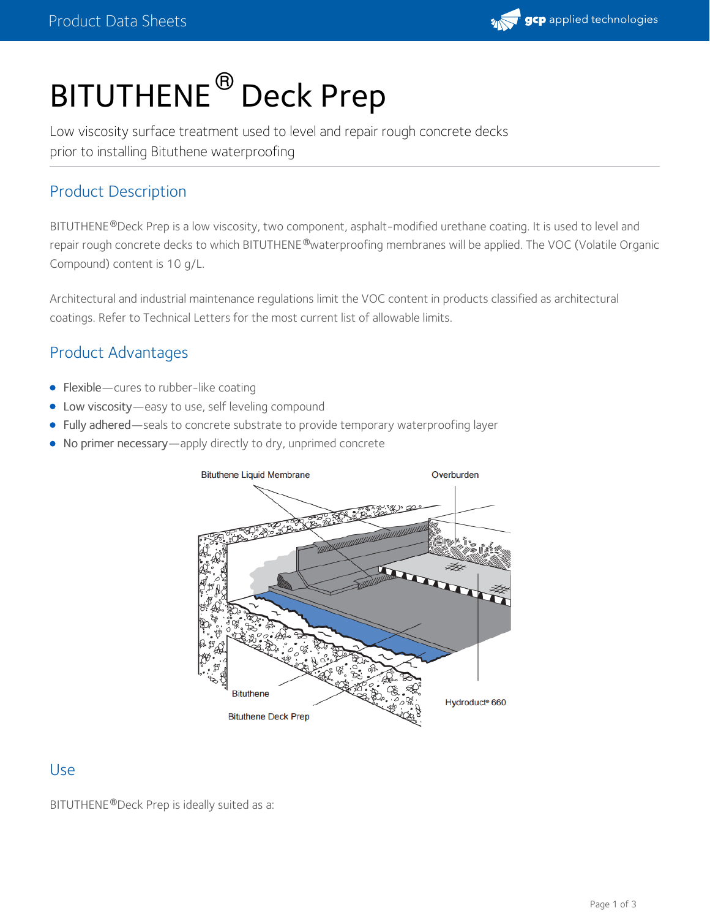

# BITUTHENE  $^\circledR$  Deck Prep

Low viscosity surface treatment used to level and repair rough concrete decks prior to installing Bituthene waterproofing

## Product Description

BITUTHENE®Deck Prep is a low viscosity, two component, asphalt-modified urethane coating. It is used to level and repair rough concrete decks to which BITUTHENE®waterproofing membranes will be applied. The VOC (Volatile Organic Compound) content is 10 g/L.

Architectural and industrial maintenance regulations limit the VOC content in products classified as architectural coatings. Refer to [Technical](https://gcpat.com/node/60131) Letters for the most current list of allowable limits.

# Product Advantages

- Flexible—cures to rubber-like coating
- Low viscosity—easy to use, self leveling compound
- Fully adhered—seals to concrete substrate to provide temporary waterproofing layer
- No primer necessary—apply directly to dry, unprimed concrete



#### Use

BITUTHENE®Deck Prep is ideally suited as a: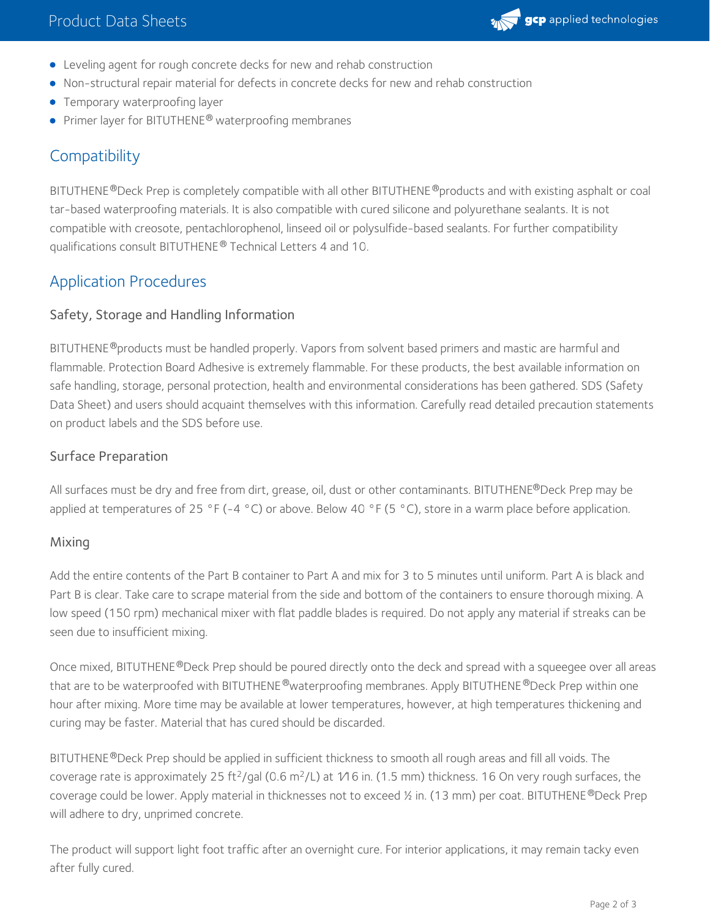

- Leveling agent for rough concrete decks for new and rehab construction
- Non-structural repair material for defects in concrete decks for new and rehab construction
- **•** Temporary waterproofing layer
- **•** Primer layer for BITUTHENE<sup>®</sup> waterproofing membranes

# **Compatibility**

BITUTHENE®Deck Prep is completely compatible with all other BITUTHENE®products and with existing asphalt or coal tar-based waterproofing materials. It is also compatible with cured silicone and polyurethane sealants. It is not compatible with creosote, pentachlorophenol, linseed oil or polysulfide-based sealants. For further compatibility qualifications consult BITUTHENE® [Technical](https://gcpat.com/node/60131) Letters 4 and 10.

# Application Procedures

#### Safety, Storage and Handling Information

BITUTHENE®products must be handled properly. Vapors from solvent based primers and mastic are harmful and flammable. Protection Board Adhesive is extremely flammable. For these products, the best available information on safe handling, storage, personal protection, health and environmental considerations has been gathered. SDS (Safety Data Sheet) and users should acquaint themselves with this information. Carefully read detailed precaution statements on product labels and the SDS before use.

#### Surface Preparation

All surfaces must be dry and free from dirt, grease, oil, dust or other contaminants. BITUTHENE®Deck Prep may be applied at temperatures of 25 °F (-4 °C) or above. Below 40 °F (5 °C), store in a warm place before application.

#### Mixing

Add the entire contents of the Part B container to Part A and mix for 3 to 5 minutes until uniform. Part A is black and Part B is clear. Take care to scrape material from the side and bottom of the containers to ensure thorough mixing. A low speed (150 rpm) mechanical mixer with flat paddle blades is required. Do not apply any material if streaks can be seen due to insufficient mixing.

Once mixed, BITUTHENE®Deck Prep should be poured directly onto the deck and spread with a squeegee over all areas that are to be waterproofed with BITUTHENE®waterproofing membranes. Apply BITUTHENE®Deck Prep within one hour after mixing. More time may be available at lower temperatures, however, at high temperatures thickening and curing may be faster. Material that has cured should be discarded.

BITUTHENE®Deck Prep should be applied in sufficient thickness to smooth all rough areas and fill all voids. The coverage rate is approximately 25 ft<sup>2</sup>/gal (0.6 m<sup>2</sup>/L) at 1⁄16 in. (1.5 mm) thickness. 16 On very rough surfaces, the coverage could be lower. Apply material in thicknesses not to exceed ½ in. (13 mm) per coat. BITUTHENE®Deck Prep will adhere to dry, unprimed concrete.

The product will support light foot traffic after an overnight cure. For interior applications, it may remain tacky even after fully cured.